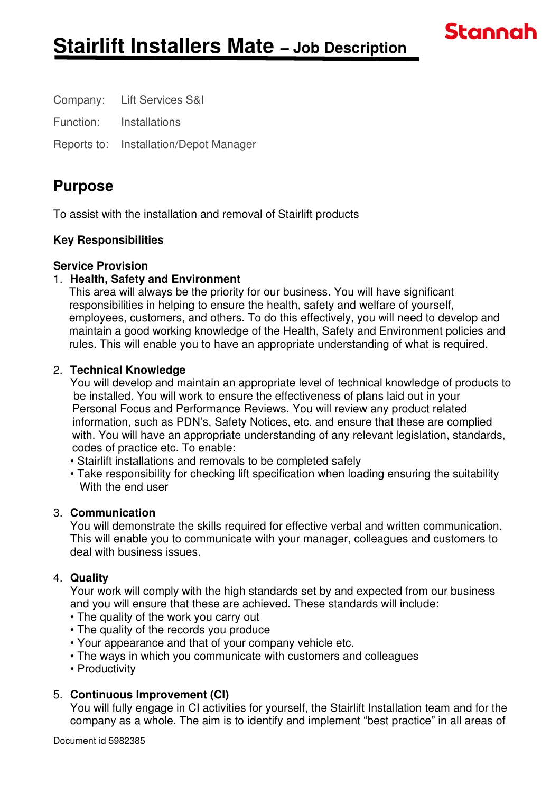Company: Lift Services S&I

Function: Installations

Reports to: Installation/Depot Manager

## **Purpose**

To assist with the installation and removal of Stairlift products

## **Key Responsibilities**

### **Service Provision**

## 1. **Health, Safety and Environment**

 This area will always be the priority for our business. You will have significant responsibilities in helping to ensure the health, safety and welfare of yourself, employees, customers, and others. To do this effectively, you will need to develop and maintain a good working knowledge of the Health, Safety and Environment policies and rules. This will enable you to have an appropriate understanding of what is required.

**Stannah** 

### 2. **Technical Knowledge**

You will develop and maintain an appropriate level of technical knowledge of products to be installed. You will work to ensure the effectiveness of plans laid out in your Personal Focus and Performance Reviews. You will review any product related information, such as PDN's, Safety Notices, etc. and ensure that these are complied with. You will have an appropriate understanding of any relevant legislation, standards, codes of practice etc. To enable:

• Stairlift installations and removals to be completed safely

• Take responsibility for checking lift specification when loading ensuring the suitability With the end user

## 3. **Communication**

You will demonstrate the skills required for effective verbal and written communication. This will enable you to communicate with your manager, colleagues and customers to deal with business issues.

## 4. **Quality**

Your work will comply with the high standards set by and expected from our business and you will ensure that these are achieved. These standards will include:

- The quality of the work you carry out
- The quality of the records you produce
- Your appearance and that of your company vehicle etc.
- The ways in which you communicate with customers and colleagues
- Productivity

## 5. **Continuous Improvement (CI)**

You will fully engage in CI activities for yourself, the Stairlift Installation team and for the company as a whole. The aim is to identify and implement "best practice" in all areas of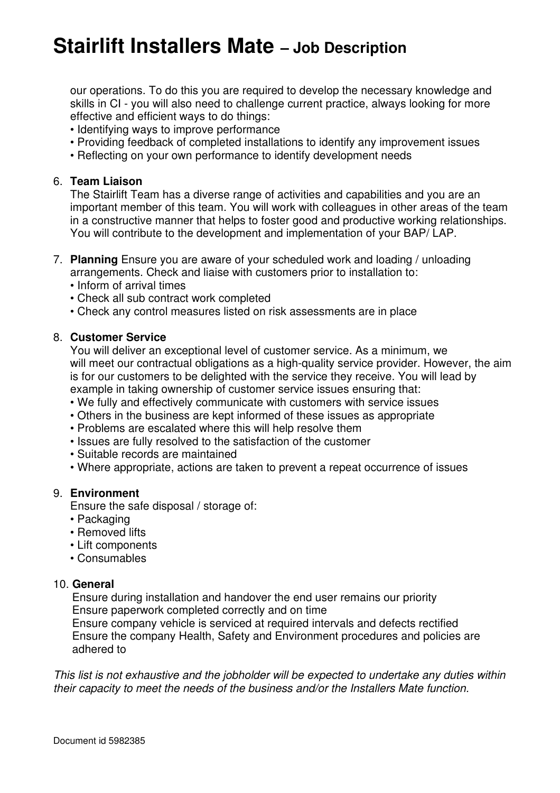# **Stairlift Installers Mate – Job Description**

our operations. To do this you are required to develop the necessary knowledge and skills in CI - you will also need to challenge current practice, always looking for more effective and efficient ways to do things:

- Identifying ways to improve performance
- Providing feedback of completed installations to identify any improvement issues
- Reflecting on your own performance to identify development needs

#### 6. **Team Liaison**

The Stairlift Team has a diverse range of activities and capabilities and you are an important member of this team. You will work with colleagues in other areas of the team in a constructive manner that helps to foster good and productive working relationships. You will contribute to the development and implementation of your BAP/ LAP.

- 7. **Planning** Ensure you are aware of your scheduled work and loading / unloading arrangements. Check and liaise with customers prior to installation to:
	- Inform of arrival times
	- Check all sub contract work completed
	- Check any control measures listed on risk assessments are in place

#### 8. **Customer Service**

You will deliver an exceptional level of customer service. As a minimum, we will meet our contractual obligations as a high-quality service provider. However, the aim is for our customers to be delighted with the service they receive. You will lead by example in taking ownership of customer service issues ensuring that:

- We fully and effectively communicate with customers with service issues
- Others in the business are kept informed of these issues as appropriate
- Problems are escalated where this will help resolve them
- Issues are fully resolved to the satisfaction of the customer
- Suitable records are maintained
- Where appropriate, actions are taken to prevent a repeat occurrence of issues

#### 9. **Environment**

Ensure the safe disposal / storage of:

- Packaging
- Removed lifts
- Lift components
- Consumables

#### 10. **General**

 Ensure during installation and handover the end user remains our priority Ensure paperwork completed correctly and on time

 Ensure company vehicle is serviced at required intervals and defects rectified Ensure the company Health, Safety and Environment procedures and policies are adhered to

This list is not exhaustive and the jobholder will be expected to undertake any duties within their capacity to meet the needs of the business and/or the Installers Mate function.